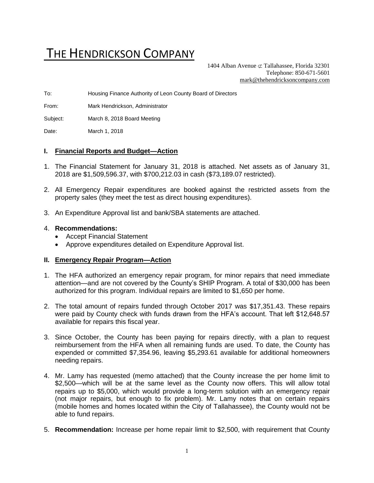# THE HENDRICKSON COMPANY

1404 Alban Avenue  $\subset \text{Tallahasse}$ , Florida 32301 Telephone: 850-671-5601 [mark@thehendricksoncompany.com](mailto:mark@thehendricksoncompany.com)

To: Housing Finance Authority of Leon County Board of Directors

From: Mark Hendrickson, Administrator

Subject: March 8, 2018 Board Meeting

Date: March 1, 2018

#### **I. Financial Reports and Budget—Action**

- 1. The Financial Statement for January 31, 2018 is attached. Net assets as of January 31, 2018 are \$1,509,596.37, with \$700,212.03 in cash (\$73,189.07 restricted).
- 2. All Emergency Repair expenditures are booked against the restricted assets from the property sales (they meet the test as direct housing expenditures).
- 3. An Expenditure Approval list and bank/SBA statements are attached.

#### 4. **Recommendations:**

- Accept Financial Statement
- Approve expenditures detailed on Expenditure Approval list.

#### **II. Emergency Repair Program—Action**

- 1. The HFA authorized an emergency repair program, for minor repairs that need immediate attention—and are not covered by the County's SHIP Program. A total of \$30,000 has been authorized for this program. Individual repairs are limited to \$1,650 per home.
- 2. The total amount of repairs funded through October 2017 was \$17,351.43. These repairs were paid by County check with funds drawn from the HFA's account. That left \$12,648.57 available for repairs this fiscal year.
- 3. Since October, the County has been paying for repairs directly, with a plan to request reimbursement from the HFA when all remaining funds are used. To date, the County has expended or committed \$7,354.96, leaving \$5,293.61 available for additional homeowners needing repairs.
- 4. Mr. Lamy has requested (memo attached) that the County increase the per home limit to \$2,500—which will be at the same level as the County now offers. This will allow total repairs up to \$5,000, which would provide a long-term solution with an emergency repair (not major repairs, but enough to fix problem). Mr. Lamy notes that on certain repairs (mobile homes and homes located within the City of Tallahassee), the County would not be able to fund repairs.
- 5. **Recommendation:** Increase per home repair limit to \$2,500, with requirement that County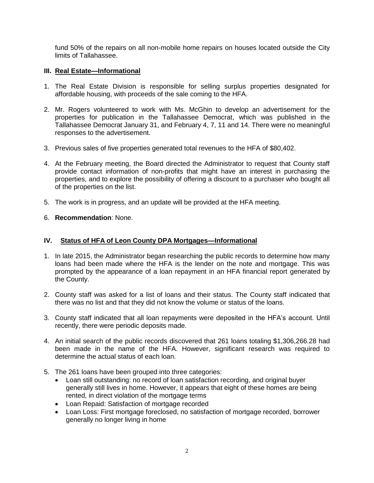fund 50% of the repairs on all non-mobile home repairs on houses located outside the City limits of Tallahassee.

# **III. Real Estate—Informational**

- 1. The Real Estate Division is responsible for selling surplus properties designated for affordable housing, with proceeds of the sale coming to the HFA.
- 2. Mr. Rogers volunteered to work with Ms. McGhin to develop an advertisement for the properties for publication in the Tallahassee Democrat, which was published in the Tallahassee Democrat January 31, and February 4, 7, 11 and 14. There were no meaningful responses to the advertisement.
- 3. Previous sales of five properties generated total revenues to the HFA of \$80,402.
- 4. At the February meeting, the Board directed the Administrator to request that County staff provide contact information of non-profits that might have an interest in purchasing the properties, and to explore the possibility of offering a discount to a purchaser who bought all of the properties on the list.
- 5. The work is in progress, and an update will be provided at the HFA meeting.
- 6. **Recommendation**: None.

#### **IV. Status of HFA of Leon County DPA Mortgages—Informational**

- 1. In late 2015, the Administrator began researching the public records to determine how many loans had been made where the HFA is the lender on the note and mortgage. This was prompted by the appearance of a loan repayment in an HFA financial report generated by the County.
- 2. County staff was asked for a list of loans and their status. The County staff indicated that there was no list and that they did not know the volume or status of the loans.
- 3. County staff indicated that all loan repayments were deposited in the HFA's account. Until recently, there were periodic deposits made.
- 4. An initial search of the public records discovered that 261 loans totaling \$1,306,266.28 had been made in the name of the HFA. However, significant research was required to determine the actual status of each loan.
- 5. The 261 loans have been grouped into three categories:
	- Loan still outstanding: no record of loan satisfaction recording, and original buyer generally still lives in home. However, it appears that eight of these homes are being rented, in direct violation of the mortgage terms
	- Loan Repaid: Satisfaction of mortgage recorded
	- Loan Loss: First mortgage foreclosed, no satisfaction of mortgage recorded, borrower generally no longer living in home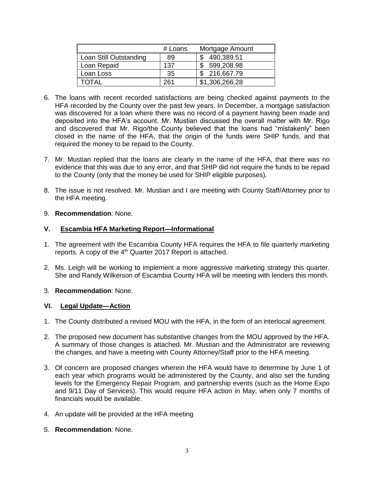|                        | # Loans | Mortgage Amount |
|------------------------|---------|-----------------|
| Loan Still Outstanding | 89      | 490,389.51      |
| Loan Repaid            | 137     | 599,208.98      |
| Loan Loss              | 35      | \$ 216,667.79   |
| ΓΟΤΑΙ                  | 261     | \$1,306,266.28  |

- 6. The loans with recent recorded satisfactions are being checked against payments to the HFA recorded by the County over the past few years. In December, a mortgage satisfaction was discovered for a loan where there was no record of a payment having been made and deposited into the HFA's account. Mr. Mustian discussed the overall matter with Mr. Rigo and discovered that Mr. Rigo/the County believed that the loans had "mistakenly" been closed in the name of the HFA, that the origin of the funds were SHIP funds, and that required the money to be repaid to the County.
- 7. Mr. Mustian replied that the loans are clearly in the name of the HFA, that there was no evidence that this was due to any error, and that SHIP did not require the funds to be repaid to the County (only that the money be used for SHIP eligible purposes).
- 8. The issue is not resolved. Mr. Mustian and I are meeting with County Staff/Attorney prior to the HFA meeting.

### 9. **Recommendation**: None.

# **V. Escambia HFA Marketing Report—Informational**

- 1. The agreement with the Escambia County HFA requires the HFA to file quarterly marketing reports. A copy of the 4<sup>th</sup> Quarter 2017 Report is attached.
- 2. Ms. Leigh will be working to implement a more aggressive marketing strategy this quarter. She and Randy Wilkerson of Escambia County HFA will be meeting with lenders this month.

# 3. **Recommendation**: None.

# **VI. Legal Update—Action**

- 1. The County distributed a revised MOU with the HFA, in the form of an interlocal agreement.
- 2. The proposed new document has substantive changes from the MOU approved by the HFA. A summary of those changes is attached. Mr. Mustian and the Administrator are reviewing the changes, and have a meeting with County Attorney/Staff prior to the HFA meeting.
- 3. Of concern are proposed changes wherein the HFA would have to determine by June 1 of each year which programs would be administered by the County, and also set the funding levels for the Emergency Repair Program, and partnership events (such as the Home Expo and 9/11 Day of Services). This would require HFA action in May, when only 7 months of financials would be available.
- 4. An update will be provided at the HFA meeting
- 5. **Recommendation**: None.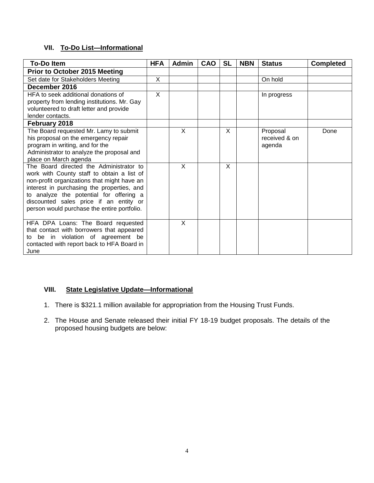# **VII. To-Do List—Informational**

| <b>To-Do Item</b>                                                                                                                                                                                                                                                                                                      | <b>HFA</b>   | <b>Admin</b> | CAO | <b>SL</b> | <b>NBN</b> | <b>Status</b>                       | <b>Completed</b> |
|------------------------------------------------------------------------------------------------------------------------------------------------------------------------------------------------------------------------------------------------------------------------------------------------------------------------|--------------|--------------|-----|-----------|------------|-------------------------------------|------------------|
| <b>Prior to October 2015 Meeting</b>                                                                                                                                                                                                                                                                                   |              |              |     |           |            |                                     |                  |
| Set date for Stakeholders Meeting                                                                                                                                                                                                                                                                                      | X            |              |     |           |            | On hold                             |                  |
| December 2016                                                                                                                                                                                                                                                                                                          |              |              |     |           |            |                                     |                  |
| HFA to seek additional donations of<br>property from lending institutions. Mr. Gay<br>volunteered to draft letter and provide<br>lender contacts.                                                                                                                                                                      | $\mathsf{X}$ |              |     |           |            | In progress                         |                  |
| February 2018                                                                                                                                                                                                                                                                                                          |              |              |     |           |            |                                     |                  |
| The Board requested Mr. Lamy to submit<br>his proposal on the emergency repair<br>program in writing, and for the<br>Administrator to analyze the proposal and<br>place on March agenda                                                                                                                                |              | X            |     | X         |            | Proposal<br>received & on<br>agenda | Done             |
| The Board directed the Administrator to<br>work with County staff to obtain a list of<br>non-profit organizations that might have an<br>interest in purchasing the properties, and<br>to analyze the potential for offering a<br>discounted sales price if an entity or<br>person would purchase the entire portfolio. |              | X            |     | X         |            |                                     |                  |
| HFA DPA Loans: The Board requested<br>that contact with borrowers that appeared<br>to be in violation of agreement be<br>contacted with report back to HFA Board in<br>June                                                                                                                                            |              | X            |     |           |            |                                     |                  |

# **VIII. State Legislative Update—Informational**

- 1. There is \$321.1 million available for appropriation from the Housing Trust Funds.
- 2. The House and Senate released their initial FY 18-19 budget proposals. The details of the proposed housing budgets are below: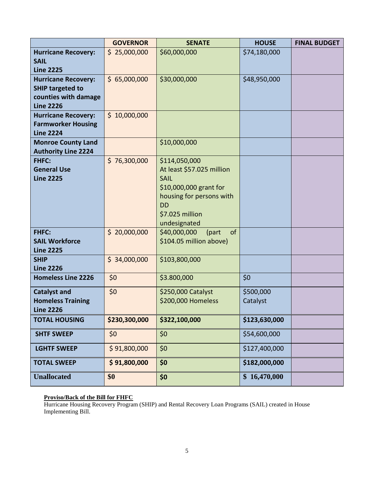|                                                                                                   | <b>GOVERNOR</b> | <b>SENATE</b>                                                                                                                                                   | <b>HOUSE</b>          | <b>FINAL BUDGET</b> |
|---------------------------------------------------------------------------------------------------|-----------------|-----------------------------------------------------------------------------------------------------------------------------------------------------------------|-----------------------|---------------------|
| <b>Hurricane Recovery:</b><br><b>SAIL</b><br><b>Line 2225</b>                                     | \$25,000,000    | \$60,000,000                                                                                                                                                    | \$74,180,000          |                     |
| <b>Hurricane Recovery:</b><br><b>SHIP targeted to</b><br>counties with damage<br><b>Line 2226</b> | \$65,000,000    | \$30,000,000                                                                                                                                                    | \$48,950,000          |                     |
| <b>Hurricane Recovery:</b><br><b>Farmworker Housing</b><br><b>Line 2224</b>                       | \$10,000,000    |                                                                                                                                                                 |                       |                     |
| <b>Monroe County Land</b><br><b>Authority Line 2224</b>                                           |                 | \$10,000,000                                                                                                                                                    |                       |                     |
| <b>FHFC:</b><br><b>General Use</b><br><b>Line 2225</b>                                            | \$76,300,000    | \$114,050,000<br>At least \$57.025 million<br><b>SAIL</b><br>\$10,000,000 grant for<br>housing for persons with<br><b>DD</b><br>\$7.025 million<br>undesignated |                       |                     |
| <b>FHFC:</b><br><b>SAIL Workforce</b><br><b>Line 2225</b>                                         | \$20,000,000    | \$40,000,000<br>(part<br>of<br>\$104.05 million above)                                                                                                          |                       |                     |
| <b>SHIP</b><br><b>Line 2226</b>                                                                   | \$34,000,000    | \$103,800,000                                                                                                                                                   |                       |                     |
| <b>Homeless Line 2226</b>                                                                         | \$0             | \$3.800,000                                                                                                                                                     | \$0                   |                     |
| <b>Catalyst and</b><br><b>Homeless Training</b><br><b>Line 2226</b>                               | \$0             | \$250,000 Catalyst<br>\$200,000 Homeless                                                                                                                        | \$500,000<br>Catalyst |                     |
| <b>TOTAL HOUSING</b>                                                                              | \$230,300,000   | \$322,100,000                                                                                                                                                   | \$123,630,000         |                     |
| <b>SHTF SWEEP</b>                                                                                 | \$0             | \$0                                                                                                                                                             | \$54,600,000          |                     |
| <b>LGHTF SWEEP</b>                                                                                | \$91,800,000    | \$0                                                                                                                                                             | \$127,400,000         |                     |
| <b>TOTAL SWEEP</b>                                                                                | \$91,800,000    | \$0                                                                                                                                                             | \$182,000,000         |                     |
| <b>Unallocated</b>                                                                                | \$0             | \$0                                                                                                                                                             | \$16,470,000          |                     |

#### **Proviso/Back of the Bill for FHFC**

Hurricane Housing Recovery Program (SHIP) and Rental Recovery Loan Programs (SAIL) created in House Implementing Bill.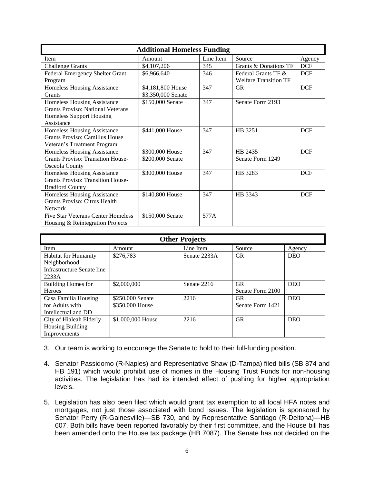| <b>Additional Homeless Funding</b>        |                    |           |                              |            |  |  |
|-------------------------------------------|--------------------|-----------|------------------------------|------------|--|--|
| Item                                      | Amount             | Line Item | Source                       | Agency     |  |  |
| <b>Challenge Grants</b>                   | \$4,107,206        | 345       | Grants & Donations TF        | <b>DCF</b> |  |  |
| Federal Emergency Shelter Grant           | \$6,966,640        | 346       | Federal Grants TF &          | <b>DCF</b> |  |  |
| Program                                   |                    |           | <b>Welfare Transition TF</b> |            |  |  |
| Homeless Housing Assistance               | \$4,181,800 House  | 347       | <b>GR</b>                    | <b>DCF</b> |  |  |
| Grants                                    | \$3,350,000 Senate |           |                              |            |  |  |
| <b>Homeless Housing Assistance</b>        | \$150,000 Senate   | 347       | Senate Form 2193             |            |  |  |
| <b>Grants Proviso: National Veterans</b>  |                    |           |                              |            |  |  |
| <b>Homeless Support Housing</b>           |                    |           |                              |            |  |  |
| Assistance                                |                    |           |                              |            |  |  |
| <b>Homeless Housing Assistance</b>        | \$441,000 House    | 347       | HB 3251                      | <b>DCF</b> |  |  |
| Grants Proviso: Camillus House            |                    |           |                              |            |  |  |
| Veteran's Treatment Program               |                    |           |                              |            |  |  |
| Homeless Housing Assistance               | \$300,000 House    | 347       | HB 2435                      | <b>DCF</b> |  |  |
| <b>Grants Proviso: Transition House-</b>  | \$200,000 Senate   |           | Senate Form 1249             |            |  |  |
| Osceola County                            |                    |           |                              |            |  |  |
| <b>Homeless Housing Assistance</b>        | \$300,000 House    | 347       | HB 3283                      | <b>DCF</b> |  |  |
| <b>Grants Proviso: Transition House-</b>  |                    |           |                              |            |  |  |
| <b>Bradford County</b>                    |                    |           |                              |            |  |  |
| <b>Homeless Housing Assistance</b>        | \$140,800 House    | 347       | HB 3343                      | <b>DCF</b> |  |  |
| Grants Proviso: Citrus Health             |                    |           |                              |            |  |  |
| <b>Network</b>                            |                    |           |                              |            |  |  |
| <b>Five Star Veterans Center Homeless</b> | \$150,000 Senate   | 577A      |                              |            |  |  |
| Housing & Reintegration Projects          |                    |           |                              |            |  |  |

| <b>Other Projects</b>       |                   |              |                  |            |  |  |
|-----------------------------|-------------------|--------------|------------------|------------|--|--|
| Item                        | Amount            | Line Item    | Source           | Agency     |  |  |
| <b>Habitat for Humanity</b> | \$276,783         | Senate 2233A | <b>GR</b>        | <b>DEO</b> |  |  |
| Neighborhood                |                   |              |                  |            |  |  |
| Infrastructure Senate line  |                   |              |                  |            |  |  |
| 2233A                       |                   |              |                  |            |  |  |
| <b>Building Homes for</b>   | \$2,000,000       | Senate 2216  | <b>GR</b>        | <b>DEO</b> |  |  |
| <b>Heroes</b>               |                   |              | Senate Form 2100 |            |  |  |
| Casa Familia Housing        | \$250,000 Senate  | 2216         | <b>GR</b>        | <b>DEO</b> |  |  |
| for Adults with             | \$350,000 House   |              | Senate Form 1421 |            |  |  |
| Intellectual and DD         |                   |              |                  |            |  |  |
| City of Hialeah Elderly     | \$1,000,000 House | 2216         | <b>GR</b>        | <b>DEO</b> |  |  |
| <b>Housing Building</b>     |                   |              |                  |            |  |  |
| Improvements                |                   |              |                  |            |  |  |

- 3. Our team is working to encourage the Senate to hold to their full-funding position.
- 4. Senator Passidomo (R-Naples) and Representative Shaw (D-Tampa) filed bills (SB 874 and HB 191) which would prohibit use of monies in the Housing Trust Funds for non-housing activities. The legislation has had its intended effect of pushing for higher appropriation levels.
- 5. Legislation has also been filed which would grant tax exemption to all local HFA notes and mortgages, not just those associated with bond issues. The legislation is sponsored by Senator Perry (R-Gainesville)—SB 730, and by Representative Santiago (R-Deltona)—HB 607. Both bills have been reported favorably by their first committee, and the House bill has been amended onto the House tax package (HB 7087). The Senate has not decided on the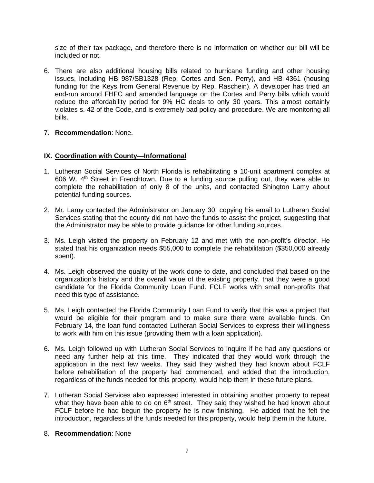size of their tax package, and therefore there is no information on whether our bill will be included or not.

- 6. There are also additional housing bills related to hurricane funding and other housing issues, including HB 987/SB1328 (Rep. Cortes and Sen. Perry), and HB 4361 (housing funding for the Keys from General Revenue by Rep. Raschein). A developer has tried an end-run around FHFC and amended language on the Cortes and Perry bills which would reduce the affordability period for 9% HC deals to only 30 years. This almost certainly violates s. 42 of the Code, and is extremely bad policy and procedure. We are monitoring all bills.
- 7. **Recommendation**: None.

### **IX. Coordination with County—Informational**

- 1. Lutheran Social Services of North Florida is rehabilitating a 10-unit apartment complex at 606 W.  $4<sup>th</sup>$  Street in Frenchtown. Due to a funding source pulling out, they were able to complete the rehabilitation of only 8 of the units, and contacted Shington Lamy about potential funding sources.
- 2. Mr. Lamy contacted the Administrator on January 30, copying his email to Lutheran Social Services stating that the county did not have the funds to assist the project, suggesting that the Administrator may be able to provide guidance for other funding sources.
- 3. Ms. Leigh visited the property on February 12 and met with the non-profit's director. He stated that his organization needs \$55,000 to complete the rehabilitation (\$350,000 already spent).
- 4. Ms. Leigh observed the quality of the work done to date, and concluded that based on the organization's history and the overall value of the existing property, that they were a good candidate for the Florida Community Loan Fund. FCLF works with small non-profits that need this type of assistance.
- 5. Ms. Leigh contacted the Florida Community Loan Fund to verify that this was a project that would be eligible for their program and to make sure there were available funds. On February 14, the loan fund contacted Lutheran Social Services to express their willingness to work with him on this issue (providing them with a loan application).
- 6. Ms. Leigh followed up with Lutheran Social Services to inquire if he had any questions or need any further help at this time. They indicated that they would work through the application in the next few weeks. They said they wished they had known about FCLF before rehabilitation of the property had commenced, and added that the introduction, regardless of the funds needed for this property, would help them in these future plans.
- 7. Lutheran Social Services also expressed interested in obtaining another property to repeat what they have been able to do on 6<sup>th</sup> street. They said they wished he had known about FCLF before he had begun the property he is now finishing. He added that he felt the introduction, regardless of the funds needed for this property, would help them in the future.

#### 8. **Recommendation**: None